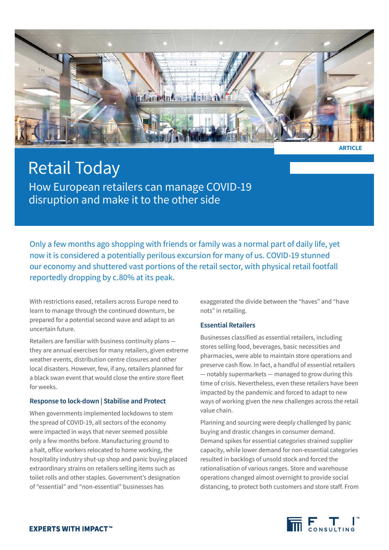

**ARTICLE**

# Retail Today How European retailers can manage COVID-19 disruption and make it to the other side

Only a few months ago shopping with friends or family was a normal part of daily life, yet now it is considered a potentially perilous excursion for many of us. COVID-19 stunned our economy and shuttered vast portions of the retail sector, with physical retail footfall reportedly dropping by c.80% at its peak.

With restrictions eased, retailers across Europe need to learn to manage through the continued downturn, be prepared for a potential second wave and adapt to an uncertain future.

Retailers are familiar with business continuity plans they are annual exercises for many retailers, given extreme weather events, distribution centre closures and other local disasters. However, few, if any, retailers planned for a black swan event that would close the entire store fleet for weeks.

# **Response to lock-down | Stabilise and Protect**

When governments implemented lockdowns to stem the spread of COVID-19, all sectors of the economy were impacted in ways that never seemed possible only a few months before. Manufacturing ground to a halt, office workers relocated to home working, the hospitality industry shut-up shop and panic buying placed extraordinary strains on retailers selling items such as toilet rolls and other staples. Government's designation of "essential" and "non-essential" businesses has

exaggerated the divide between the "haves" and "have nots" in retailing.

# **Essential Retailers**

Businesses classified as essential retailers, including stores selling food, beverages, basic necessities and pharmacies, were able to maintain store operations and preserve cash flow. In fact, a handful of essential retailers — notably supermarkets — managed to grow during this time of crisis. Nevertheless, even these retailers have been impacted by the pandemic and forced to adapt to new ways of working given the new challenges across the retail value chain.

Planning and sourcing were deeply challenged by panic buying and drastic changes in consumer demand. Demand spikes for essential categories strained supplier capacity, while lower demand for non-essential categories resulted in backlogs of unsold stock and forced the rationalisation of various ranges. Store and warehouse operations changed almost overnight to provide social distancing, to protect both customers and store staff. From

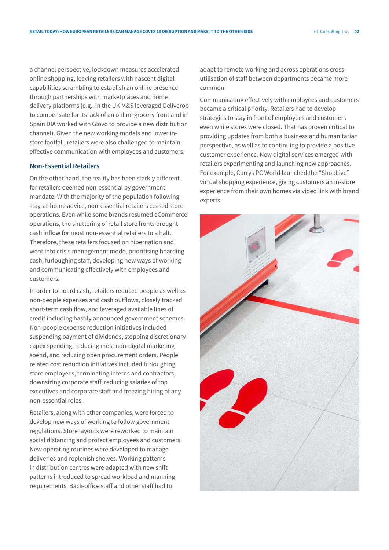a channel perspective, lockdown measures accelerated online shopping, leaving retailers with nascent digital capabilities scrambling to establish an online presence through partnerships with marketplaces and home delivery platforms (e.g., in the UK M&S leveraged Deliveroo to compensate for its lack of an online grocery front and in Spain DIA worked with Glovo to provide a new distribution channel). Given the new working models and lower instore footfall, retailers were also challenged to maintain effective communication with employees and customers.

# **Non-Essential Retailers**

On the other hand, the reality has been starkly different for retailers deemed non-essential by government mandate. With the majority of the population following stay-at-home advice, non-essential retailers ceased store operations. Even while some brands resumed eCommerce operations, the shuttering of retail store fronts brought cash inflow for most non-essential retailers to a halt. Therefore, these retailers focused on hibernation and went into crisis management mode, prioritising hoarding cash, furloughing staff, developing new ways of working and communicating effectively with employees and customers.

In order to hoard cash, retailers reduced people as well as non-people expenses and cash outflows, closely tracked short-term cash flow, and leveraged available lines of credit including hastily announced government schemes. Non-people expense reduction initiatives included suspending payment of dividends, stopping discretionary capex spending, reducing most non-digital marketing spend, and reducing open procurement orders. People related cost reduction initiatives included furloughing store employees, terminating interns and contractors, downsizing corporate staff, reducing salaries of top executives and corporate staff and freezing hiring of any non-essential roles.

Retailers, along with other companies, were forced to develop new ways of working to follow government regulations. Store layouts were reworked to maintain social distancing and protect employees and customers. New operating routines were developed to manage deliveries and replenish shelves. Working patterns in distribution centres were adapted with new shift patterns introduced to spread workload and manning requirements. Back-office staff and other staff had to

adapt to remote working and across operations crossutilisation of staff between departments became more common.

Communicating effectively with employees and customers became a critical priority. Retailers had to develop strategies to stay in front of employees and customers even while stores were closed. That has proven critical to providing updates from both a business and humanitarian perspective, as well as to continuing to provide a positive customer experience. New digital services emerged with retailers experimenting and launching new approaches. For example, Currys PC World launched the "ShopLive" virtual shopping experience, giving customers an in-store experience from their own homes via video link with brand experts.

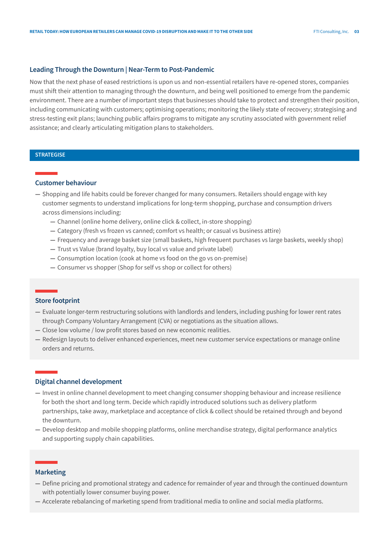### **Leading Through the Downturn | Near-Term to Post-Pandemic**

Now that the next phase of eased restrictions is upon us and non-essential retailers have re-opened stores, companies must shift their attention to managing through the downturn, and being well positioned to emerge from the pandemic environment. There are a number of important steps that businesses should take to protect and strengthen their position, including communicating with customers; optimising operations; monitoring the likely state of recovery; strategising and stress-testing exit plans; launching public affairs programs to mitigate any scrutiny associated with government relief assistance; and clearly articulating mitigation plans to stakeholders.

# **STRATEGISE**

# **Customer behaviour**

- **—** Shopping and life habits could be forever changed for many consumers. Retailers should engage with key customer segments to understand implications for long-term shopping, purchase and consumption drivers across dimensions including:
	- **—** Channel (online home delivery, online click & collect, in-store shopping)
	- **—** Category (fresh vs frozen vs canned; comfort vs health; or casual vs business attire)
	- **—** Frequency and average basket size (small baskets, high frequent purchases vs large baskets, weekly shop)
	- **—** Trust vs Value (brand loyalty, buy local vs value and private label)
	- **—** Consumption location (cook at home vs food on the go vs on-premise)
	- **—** Consumer vs shopper (Shop for self vs shop or collect for others)

# **Store footprint**

- **—** Evaluate longer-term restructuring solutions with landlords and lenders, including pushing for lower rent rates through Company Voluntary Arrangement (CVA) or negotiations as the situation allows.
- **—** Close low volume / low profit stores based on new economic realities.
- **—** Redesign layouts to deliver enhanced experiences, meet new customer service expectations or manage online orders and returns.

# **Digital channel development**

- **—** Invest in online channel development to meet changing consumer shopping behaviour and increase resilience for both the short and long term. Decide which rapidly introduced solutions such as delivery platform partnerships, take away, marketplace and acceptance of click & collect should be retained through and beyond the downturn.
- **—** Develop desktop and mobile shopping platforms, online merchandise strategy, digital performance analytics and supporting supply chain capabilities.

#### **Marketing**

- **—** Define pricing and promotional strategy and cadence for remainder of year and through the continued downturn with potentially lower consumer buying power.
- **—** Accelerate rebalancing of marketing spend from traditional media to online and social media platforms.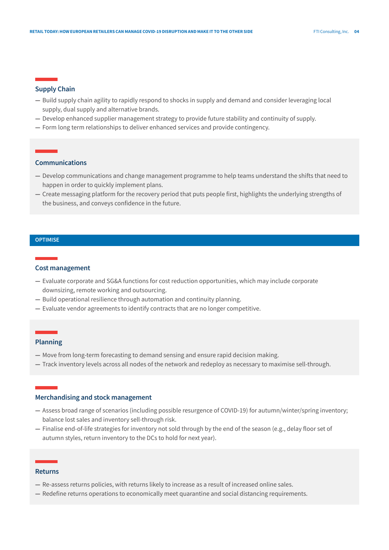#### **Supply Chain**

- **—** Build supply chain agility to rapidly respond to shocks in supply and demand and consider leveraging local supply, dual supply and alternative brands.
- **—** Develop enhanced supplier management strategy to provide future stability and continuity of supply.
- **—** Form long term relationships to deliver enhanced services and provide contingency.

# **Communications**

- **—** Develop communications and change management programme to help teams understand the shifts that need to happen in order to quickly implement plans.
- **—** Create messaging platform for the recovery period that puts people first, highlights the underlying strengths of the business, and conveys confidence in the future.

#### **OPTIMISE**

# **Cost management**

- **—** Evaluate corporate and SG&A functions for cost reduction opportunities, which may include corporate downsizing, remote working and outsourcing.
- **—** Build operational resilience through automation and continuity planning.
- **—** Evaluate vendor agreements to identify contracts that are no longer competitive.

#### **Planning**

- **—** Move from long-term forecasting to demand sensing and ensure rapid decision making.
- **—** Track inventory levels across all nodes of the network and redeploy as necessary to maximise sell-through.

# **Merchandising and stock management**

- **—** Assess broad range of scenarios (including possible resurgence of COVID-19) for autumn/winter/spring inventory; balance lost sales and inventory sell-through risk.
- **—** Finalise end-of-life strategies for inventory not sold through by the end of the season (e.g., delay floor set of autumn styles, return inventory to the DCs to hold for next year).

#### **Returns**

- **—** Re-assess returns policies, with returns likely to increase as a result of increased online sales.
- **—** Redefine returns operations to economically meet quarantine and social distancing requirements.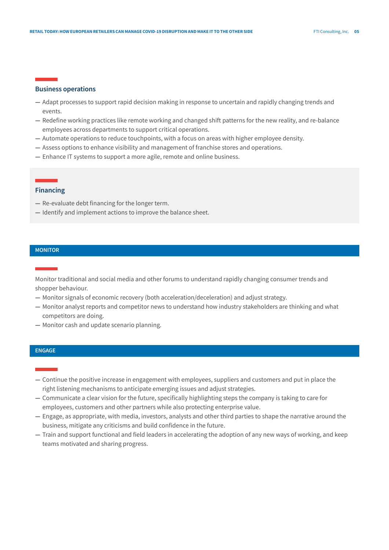#### **Business operations**

- **—** Adapt processes to support rapid decision making in response to uncertain and rapidly changing trends and events.
- **—** Redefine working practices like remote working and changed shift patterns for the new reality, and re-balance employees across departments to support critical operations.
- **—** Automate operations to reduce touchpoints, with a focus on areas with higher employee density.
- **—** Assess options to enhance visibility and management of franchise stores and operations.
- **—** Enhance IT systems to support a more agile, remote and online business.

# **Financing**

- **—** Re-evaluate debt financing for the longer term.
- **—** Identify and implement actions to improve the balance sheet.

#### **MONITOR**

Monitor traditional and social media and other forums to understand rapidly changing consumer trends and shopper behaviour.

- **—** Monitor signals of economic recovery (both acceleration/deceleration) and adjust strategy.
- **—** Monitor analyst reports and competitor news to understand how industry stakeholders are thinking and what competitors are doing.
- **—** Monitor cash and update scenario planning.

# **ENGAGE**

- **—** Continue the positive increase in engagement with employees, suppliers and customers and put in place the right listening mechanisms to anticipate emerging issues and adjust strategies.
- **—** Communicate a clear vision for the future, specifically highlighting steps the company is taking to care for employees, customers and other partners while also protecting enterprise value.
- **—** Engage, as appropriate, with media, investors, analysts and other third parties to shape the narrative around the business, mitigate any criticisms and build confidence in the future.
- **—** Train and support functional and field leaders in accelerating the adoption of any new ways of working, and keep teams motivated and sharing progress.